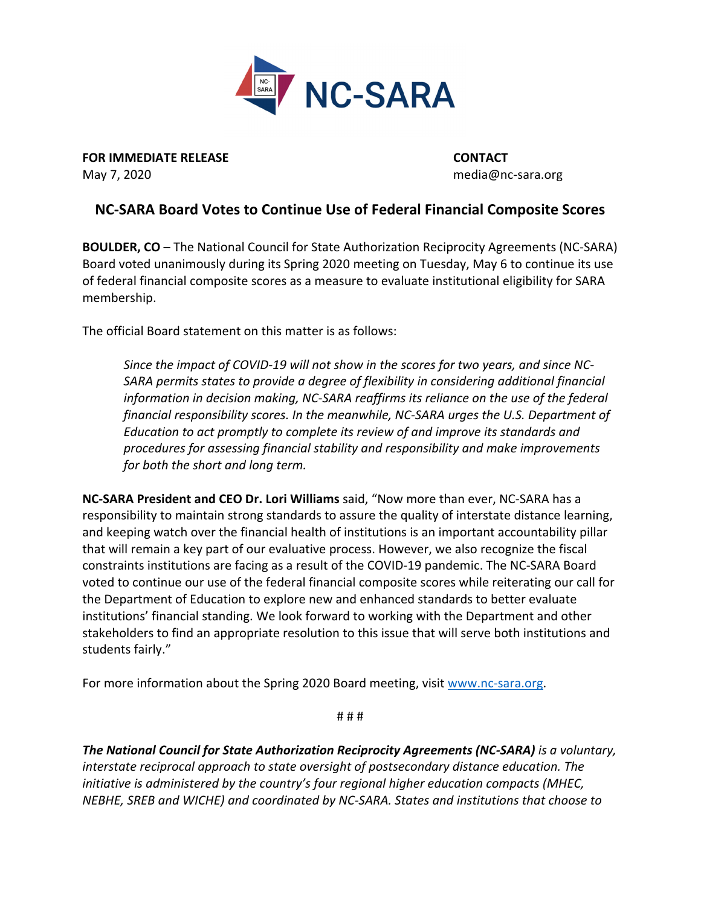

**FOR IMMEDIATE RELEASE CONTACT** May 7, 2020 media@nc‐sara.org

## **NC‐SARA Board Votes to Continue Use of Federal Financial Composite Scores**

**BOULDER, CO** – The National Council for State Authorization Reciprocity Agreements (NC‐SARA) Board voted unanimously during its Spring 2020 meeting on Tuesday, May 6 to continue its use of federal financial composite scores as a measure to evaluate institutional eligibility for SARA membership.

The official Board statement on this matter is as follows:

Since the impact of COVID-19 will not show in the scores for two years, and since NC-*SARA permits states to provide a degree of flexibility in considering additional financial information in decision making, NC‐SARA reaffirms its reliance on the use of the federal financial responsibility scores. In the meanwhile, NC‐SARA urges the U.S. Department of Education to act promptly to complete its review of and improve its standards and procedures for assessing financial stability and responsibility and make improvements for both the short and long term.*

**NC‐SARA President and CEO Dr. Lori Williams** said, "Now more than ever, NC‐SARA has a responsibility to maintain strong standards to assure the quality of interstate distance learning, and keeping watch over the financial health of institutions is an important accountability pillar that will remain a key part of our evaluative process. However, we also recognize the fiscal constraints institutions are facing as a result of the COVID‐19 pandemic. The NC‐SARA Board voted to continue our use of the federal financial composite scores while reiterating our call for the Department of Education to explore new and enhanced standards to better evaluate institutions' financial standing. We look forward to working with the Department and other stakeholders to find an appropriate resolution to this issue that will serve both institutions and students fairly."

For more information about the Spring 2020 Board meeting, visit www.nc-sara.org.

# # #

*The National Council for State Authorization Reciprocity Agreements (NC‐SARA) is a voluntary, interstate reciprocal approach to state oversight of postsecondary distance education. The initiative is administered by the country's four regional higher education compacts (MHEC, NEBHE, SREB and WICHE) and coordinated by NC‐SARA. States and institutions that choose to*